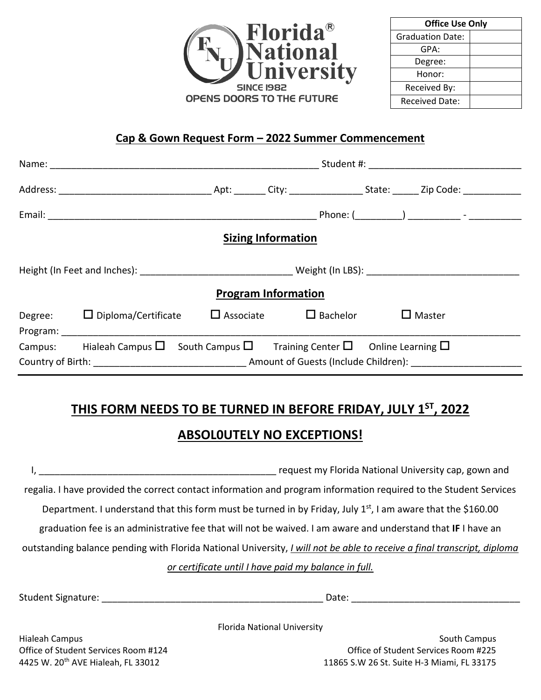

| <b>Office Use Only</b>  |  |  |  |  |
|-------------------------|--|--|--|--|
| <b>Graduation Date:</b> |  |  |  |  |
| GPA:                    |  |  |  |  |
| Degree:                 |  |  |  |  |
| Honor:                  |  |  |  |  |
| Received By:            |  |  |  |  |
| <b>Received Date:</b>   |  |  |  |  |

#### **Cap & Gown Request Form – 2022 Summer Commencement**

|  |                                                                                                             |  | <b>Sizing Information</b>        |               |  |  |
|--|-------------------------------------------------------------------------------------------------------------|--|----------------------------------|---------------|--|--|
|  |                                                                                                             |  |                                  |               |  |  |
|  |                                                                                                             |  | <b>Program Information</b>       |               |  |  |
|  | Degree: $\Box$ Diploma/Certificate<br>Program: ________________________                                     |  | $\Box$ Associate $\Box$ Bachelor | $\Box$ Master |  |  |
|  | Campus: Hialeah Campus $\square$ South Campus $\square$ Training Center $\square$ Online Learning $\square$ |  |                                  |               |  |  |

## **THIS FORM NEEDS TO BE TURNED IN BEFORE FRIDAY, JULY 1ST, 2022 ABSOL0UTELY NO EXCEPTIONS!**

# I, the contract of the contract of the contract of the contract of the contract of the contract of the contract of the contract of the contract of the contract of the contract of the contract of the contract of the contrac regalia. I have provided the correct contact information and program information required to the Student Services Department. I understand that this form must be turned in by Friday, July 1<sup>st</sup>, I am aware that the \$160.00 graduation fee is an administrative fee that will not be waived. I am aware and understand that **IF** I have an outstanding balance pending with Florida National University, *I will not be able to receive a final transcript, diploma or certificate until I have paid my balance in full.*

Student Signature: \_\_\_\_\_\_\_\_\_\_\_\_\_\_\_\_\_\_\_\_\_\_\_\_\_\_\_\_\_\_\_\_\_\_\_\_\_\_\_\_\_\_ Date: \_\_\_\_\_\_\_\_\_\_\_\_\_\_\_\_\_\_\_\_\_\_\_\_\_\_\_\_\_\_\_\_

Florida National University

Hialeah Campus South Campus Office of Student Services Room #124 Office of Student Services Room #225 4425 W. 20th AVE Hialeah, FL 33012 11865 S.W 26 St. Suite H-3 Miami, FL 33175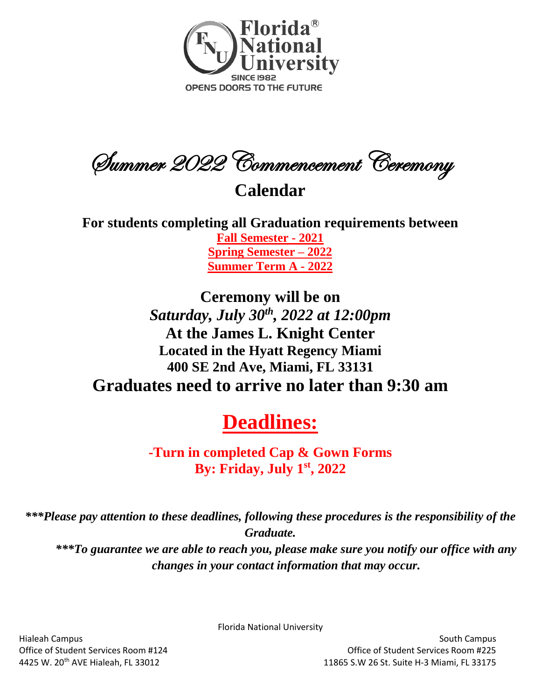

Summer 2022 Commencement Ceremony

## **Calendar**

**For students completing all Graduation requirements between Fall Semester - 2021 Spring Semester – 2022 Summer Term A - 2022**

## **Ceremony will be on**  *Saturday, July 30th, 2022 at 12:00pm*  **At the James L. Knight Center Located in the Hyatt Regency Miami 400 SE 2nd Ave, Miami, FL 33131 Graduates need to arrive no later than 9:30 am**

# **Deadlines:**

**-Turn in completed Cap & Gown Forms By: Friday, July 1 st, 2022**

*\*\*\*Please pay attention to these deadlines, following these procedures is the responsibility of the Graduate.*

*\*\*\*To guarantee we are able to reach you, please make sure you notify our office with any changes in your contact information that may occur.*

Florida National University

Hialeah Campus South Campus Office of Student Services Room #124 Office of Student Services Room #225 4425 W. 20th AVE Hialeah, FL 33012 11865 S.W 26 St. Suite H-3 Miami, FL 33175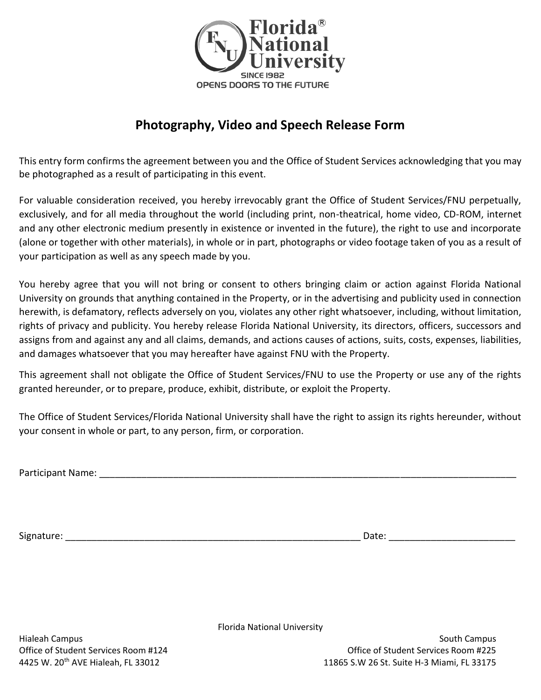

### **Photography, Video and Speech Release Form**

This entry form confirms the agreement between you and the Office of Student Services acknowledging that you may be photographed as a result of participating in this event.

For valuable consideration received, you hereby irrevocably grant the Office of Student Services/FNU perpetually, exclusively, and for all media throughout the world (including print, non-theatrical, home video, CD-ROM, internet and any other electronic medium presently in existence or invented in the future), the right to use and incorporate (alone or together with other materials), in whole or in part, photographs or video footage taken of you as a result of your participation as well as any speech made by you.

You hereby agree that you will not bring or consent to others bringing claim or action against Florida National University on grounds that anything contained in the Property, or in the advertising and publicity used in connection herewith, is defamatory, reflects adversely on you, violates any other right whatsoever, including, without limitation, rights of privacy and publicity. You hereby release Florida National University, its directors, officers, successors and assigns from and against any and all claims, demands, and actions causes of actions, suits, costs, expenses, liabilities, and damages whatsoever that you may hereafter have against FNU with the Property.

This agreement shall not obligate the Office of Student Services/FNU to use the Property or use any of the rights granted hereunder, or to prepare, produce, exhibit, distribute, or exploit the Property.

The Office of Student Services/Florida National University shall have the right to assign its rights hereunder, without your consent in whole or part, to any person, firm, or corporation.

Participant Name: \_\_\_\_\_\_\_\_\_\_\_\_\_\_\_\_\_\_\_\_\_\_\_\_\_\_\_\_\_\_\_\_\_\_\_\_\_\_\_\_\_\_\_\_\_\_\_\_\_\_\_\_\_\_\_\_\_\_\_\_\_\_\_\_\_\_\_\_\_\_\_\_\_\_\_\_\_\_\_

Signature: \_\_\_\_\_\_\_\_\_\_\_\_\_\_\_\_\_\_\_\_\_\_\_\_\_\_\_\_\_\_\_\_\_\_\_\_\_\_\_\_\_\_\_\_\_\_\_\_\_\_\_\_\_\_\_\_ Date: \_\_\_\_\_\_\_\_\_\_\_\_\_\_\_\_\_\_\_\_\_\_\_\_

Florida National University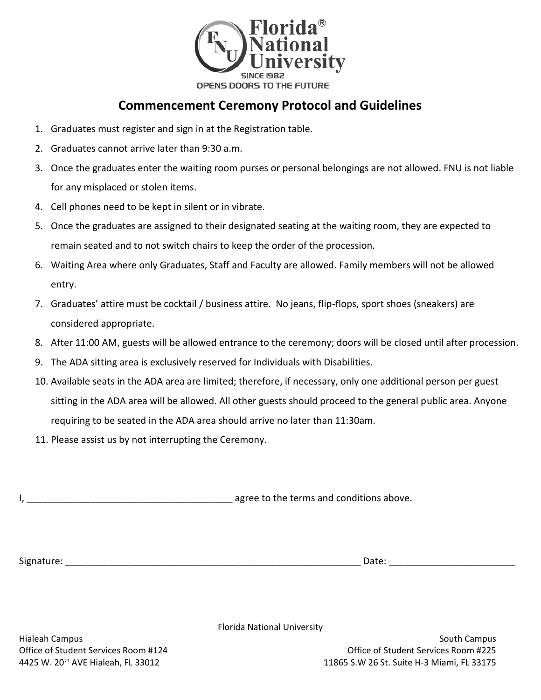

#### **Commencement Ceremony Protocol and Guidelines**

- 1. Graduates must register and sign in at the Registration table.
- 2. Graduates cannot arrive later than 9:30 a.m.
- 3. Once the graduates enter the waiting room purses or personal belongings are not allowed. FNU is not liable for any misplaced or stolen items.
- 4. Cell phones need to be kept in silent or in vibrate.
- 5. Once the graduates are assigned to their designated seating at the waiting room, they are expected to remain seated and to not switch chairs to keep the order of the procession.
- 6. Waiting Area where only Graduates, Staff and Faculty are allowed. Family members will not be allowed entry.
- 7. Graduates' attire must be cocktail / business attire. No jeans, flip-flops, sport shoes (sneakers) are considered appropriate.
- 8. After 11:00 AM, guests will be allowed entrance to the ceremony; doors will be closed until after procession.
- 9. The ADA sitting area is exclusively reserved for Individuals with Disabilities.
- 10. Available seats in the ADA area are limited; therefore, if necessary, only one additional person per guest sitting in the ADA area will be allowed. All other guests should proceed to the general public area. Anyone requiring to be seated in the ADA area should arrive no later than 11:30am.
- 11. Please assist us by not interrupting the Ceremony.

I, \_\_\_\_\_\_\_\_\_\_\_\_\_\_\_\_\_\_\_\_\_\_\_\_\_\_\_\_\_\_\_\_\_\_\_\_\_\_\_ agree to the terms and conditions above.

Signature: \_\_\_\_\_\_\_\_\_\_\_\_\_\_\_\_\_\_\_\_\_\_\_\_\_\_\_\_\_\_\_\_\_\_\_\_\_\_\_\_\_\_\_\_\_\_\_\_\_\_\_\_\_\_\_\_ Date: \_\_\_\_\_\_\_\_\_\_\_\_\_\_\_\_\_\_\_\_\_\_\_\_

Florida National University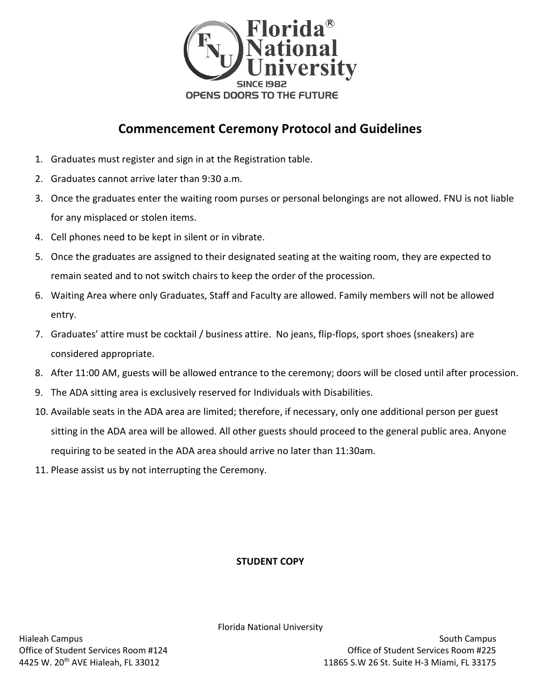

### **Commencement Ceremony Protocol and Guidelines**

- 1. Graduates must register and sign in at the Registration table.
- 2. Graduates cannot arrive later than 9:30 a.m.
- 3. Once the graduates enter the waiting room purses or personal belongings are not allowed. FNU is not liable for any misplaced or stolen items.
- 4. Cell phones need to be kept in silent or in vibrate.
- 5. Once the graduates are assigned to their designated seating at the waiting room, they are expected to remain seated and to not switch chairs to keep the order of the procession.
- 6. Waiting Area where only Graduates, Staff and Faculty are allowed. Family members will not be allowed entry.
- 7. Graduates' attire must be cocktail / business attire. No jeans, flip-flops, sport shoes (sneakers) are considered appropriate.
- 8. After 11:00 AM, guests will be allowed entrance to the ceremony; doors will be closed until after procession.
- 9. The ADA sitting area is exclusively reserved for Individuals with Disabilities.
- 10. Available seats in the ADA area are limited; therefore, if necessary, only one additional person per guest sitting in the ADA area will be allowed. All other guests should proceed to the general public area. Anyone requiring to be seated in the ADA area should arrive no later than 11:30am.
- 11. Please assist us by not interrupting the Ceremony.

#### **STUDENT COPY**

Florida National University